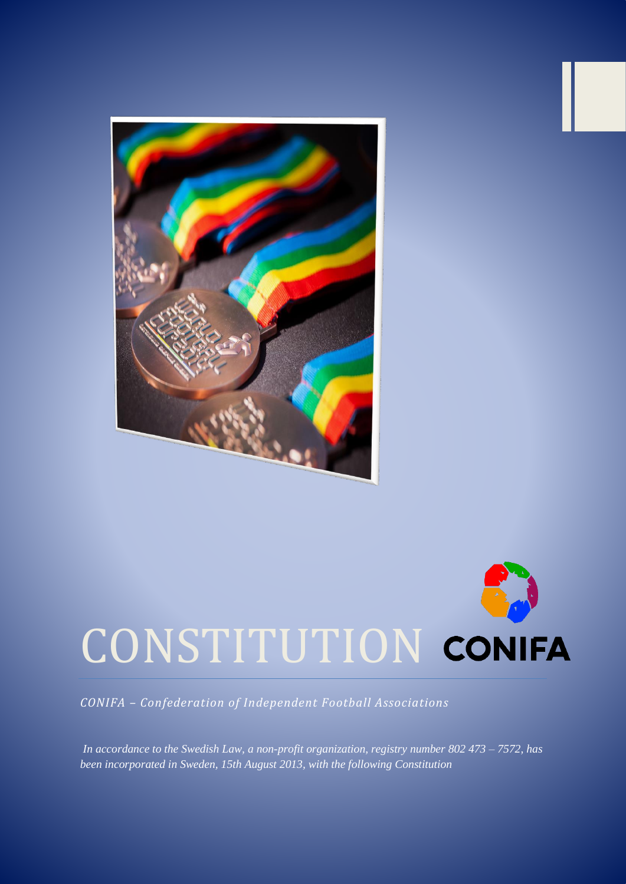

# CONSTITUTION CONIFA

*CONIFA – Confederation of Independent Football Associations*

*In accordance to the Swedish Law, a non-profit organization, registry number 802 473 – 7572, has been incorporated in Sweden, 15th August 2013, with the following Constitution*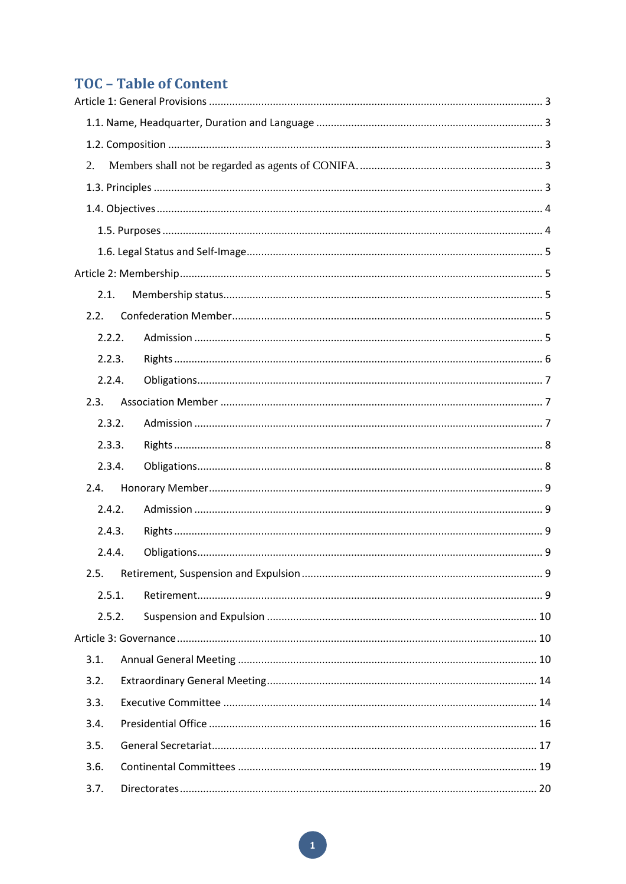# **TOC - Table of Content**

| 2.     |  |  |  |  |
|--------|--|--|--|--|
|        |  |  |  |  |
|        |  |  |  |  |
|        |  |  |  |  |
|        |  |  |  |  |
|        |  |  |  |  |
| 2.1.   |  |  |  |  |
| 2.2.   |  |  |  |  |
| 2.2.2. |  |  |  |  |
| 2.2.3. |  |  |  |  |
| 2.2.4. |  |  |  |  |
| 2.3.   |  |  |  |  |
| 2.3.2. |  |  |  |  |
| 2.3.3. |  |  |  |  |
| 2.3.4. |  |  |  |  |
| 2.4.   |  |  |  |  |
| 2.4.2. |  |  |  |  |
| 2.4.3. |  |  |  |  |
| 2.4.4. |  |  |  |  |
| 2.5.   |  |  |  |  |
| 2.5.1. |  |  |  |  |
| 2.5.2. |  |  |  |  |
|        |  |  |  |  |
| 3.1.   |  |  |  |  |
| 3.2.   |  |  |  |  |
| 3.3.   |  |  |  |  |
| 3.4.   |  |  |  |  |
| 3.5.   |  |  |  |  |
| 3.6.   |  |  |  |  |
| 3.7.   |  |  |  |  |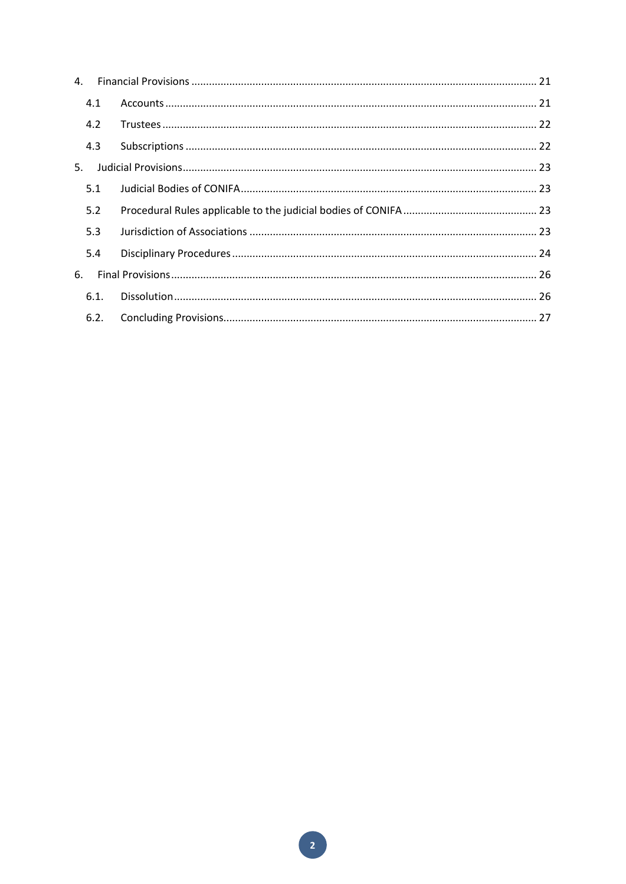| 4.   |  |
|------|--|
| 4.1  |  |
| 4.2  |  |
| 4.3  |  |
| 5.   |  |
| 5.1  |  |
| 5.2  |  |
| 5.3  |  |
| 5.4  |  |
| 6.   |  |
| 6.1. |  |
| 6.2. |  |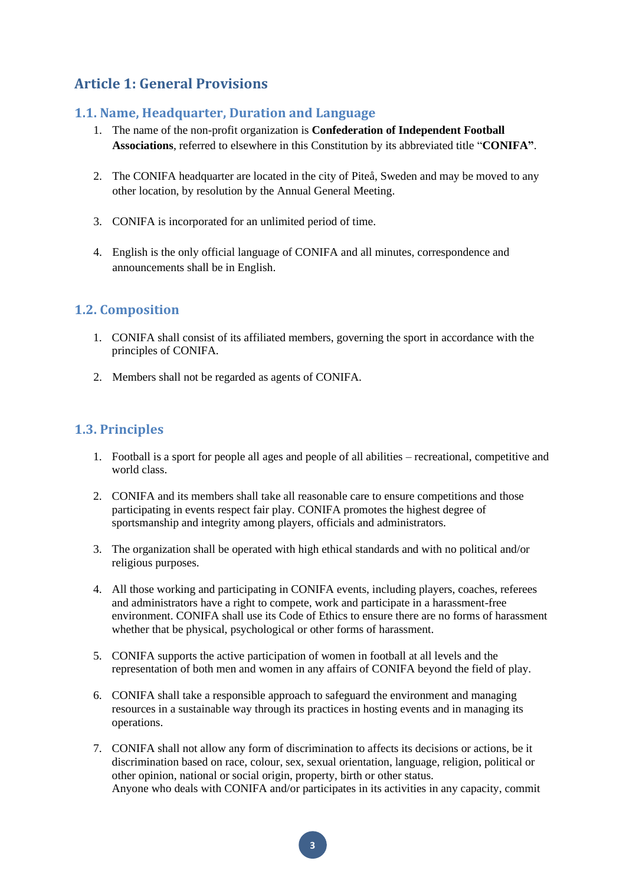# <span id="page-3-0"></span>**Article 1: General Provisions**

# <span id="page-3-1"></span>**1.1. Name, Headquarter, Duration and Language**

- 1. The name of the non-profit organization is **Confederation of Independent Football Associations**, referred to elsewhere in this Constitution by its abbreviated title "**CONIFA"**.
- 2. The CONIFA headquarter are located in the city of Piteå, Sweden and may be moved to any other location, by resolution by the Annual General Meeting.
- 3. CONIFA is incorporated for an unlimited period of time.
- 4. English is the only official language of CONIFA and all minutes, correspondence and announcements shall be in English.

# <span id="page-3-2"></span>**1.2. Composition**

- 1. CONIFA shall consist of its affiliated members, governing the sport in accordance with the principles of CONIFA.
- <span id="page-3-3"></span>2. Members shall not be regarded as agents of CONIFA.

# <span id="page-3-4"></span>**1.3. Principles**

- 1. Football is a sport for people all ages and people of all abilities recreational, competitive and world class.
- 2. CONIFA and its members shall take all reasonable care to ensure competitions and those participating in events respect fair play. CONIFA promotes the highest degree of sportsmanship and integrity among players, officials and administrators.
- 3. The organization shall be operated with high ethical standards and with no political and/or religious purposes.
- 4. All those working and participating in CONIFA events, including players, coaches, referees and administrators have a right to compete, work and participate in a harassment-free environment. CONIFA shall use its Code of Ethics to ensure there are no forms of harassment whether that be physical, psychological or other forms of harassment.
- 5. CONIFA supports the active participation of women in football at all levels and the representation of both men and women in any affairs of CONIFA beyond the field of play.
- 6. CONIFA shall take a responsible approach to safeguard the environment and managing resources in a sustainable way through its practices in hosting events and in managing its operations.
- 7. CONIFA shall not allow any form of discrimination to affects its decisions or actions, be it discrimination based on race, colour, sex, sexual orientation, language, religion, political or other opinion, national or social origin, property, birth or other status. Anyone who deals with CONIFA and/or participates in its activities in any capacity, commit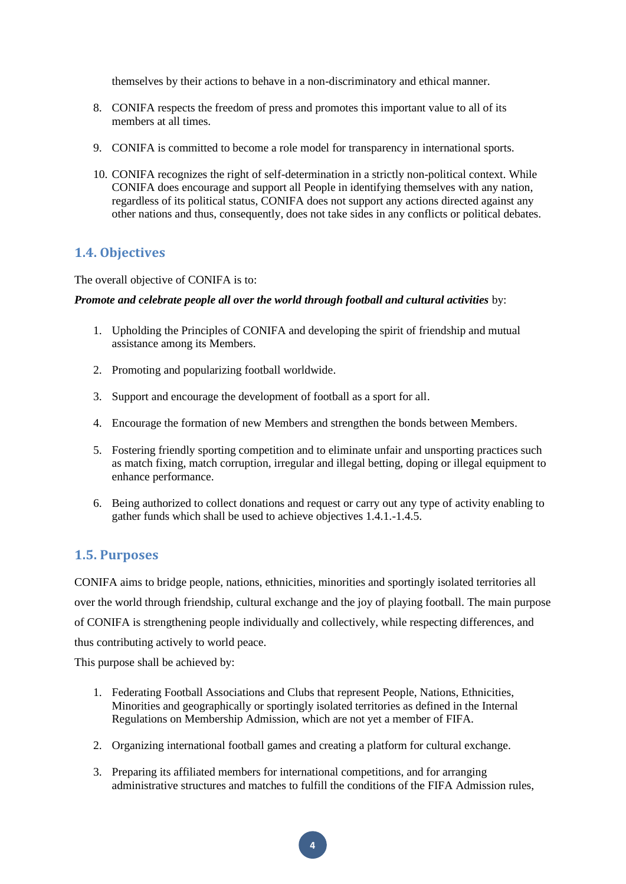themselves by their actions to behave in a non-discriminatory and ethical manner.

- 8. CONIFA respects the freedom of press and promotes this important value to all of its members at all times.
- 9. CONIFA is committed to become a role model for transparency in international sports.
- 10. CONIFA recognizes the right of self-determination in a strictly non-political context. While CONIFA does encourage and support all People in identifying themselves with any nation, regardless of its political status, CONIFA does not support any actions directed against any other nations and thus, consequently, does not take sides in any conflicts or political debates.

# <span id="page-4-0"></span>**1.4. Objectives**

The overall objective of CONIFA is to:

#### *Promote and celebrate people all over the world through football and cultural activities* by:

- 1. Upholding the Principles of CONIFA and developing the spirit of friendship and mutual assistance among its Members.
- 2. Promoting and popularizing football worldwide.
- 3. Support and encourage the development of football as a sport for all.
- 4. Encourage the formation of new Members and strengthen the bonds between Members.
- 5. Fostering friendly sporting competition and to eliminate unfair and unsporting practices such as match fixing, match corruption, irregular and illegal betting, doping or illegal equipment to enhance performance.
- 6. Being authorized to collect donations and request or carry out any type of activity enabling to gather funds which shall be used to achieve objectives 1.4.1.-1.4.5.

# <span id="page-4-1"></span>**1.5. Purposes**

CONIFA aims to bridge people, nations, ethnicities, minorities and sportingly isolated territories all over the world through friendship, cultural exchange and the joy of playing football. The main purpose of CONIFA is strengthening people individually and collectively, while respecting differences, and thus contributing actively to world peace.

This purpose shall be achieved by:

- 1. Federating Football Associations and Clubs that represent People, Nations, Ethnicities, Minorities and geographically or sportingly isolated territories as defined in the Internal Regulations on Membership Admission, which are not yet a member of FIFA.
- 2. Organizing international football games and creating a platform for cultural exchange.
- 3. Preparing its affiliated members for international competitions, and for arranging administrative structures and matches to fulfill the conditions of the FIFA Admission rules,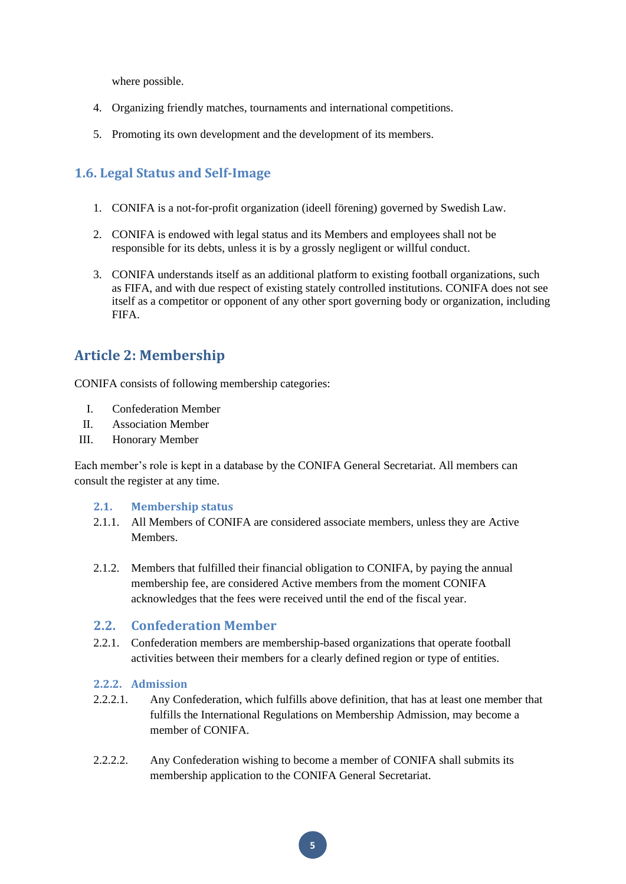where possible.

- 4. Organizing friendly matches, tournaments and international competitions.
- 5. Promoting its own development and the development of its members.

# <span id="page-5-0"></span>**1.6. Legal Status and Self-Image**

- 1. CONIFA is a not-for-profit organization (ideell förening) governed by Swedish Law.
- 2. CONIFA is endowed with legal status and its Members and employees shall not be responsible for its debts, unless it is by a grossly negligent or willful conduct.
- 3. CONIFA understands itself as an additional platform to existing football organizations, such as FIFA, and with due respect of existing stately controlled institutions. CONIFA does not see itself as a competitor or opponent of any other sport governing body or organization, including FIFA.

# <span id="page-5-1"></span>**Article 2: Membership**

CONIFA consists of following membership categories:

- I. Confederation Member
- II. Association Member
- III. Honorary Member

Each member's role is kept in a database by the CONIFA General Secretariat. All members can consult the register at any time.

# <span id="page-5-2"></span>**2.1. Membership status**

- 2.1.1. All Members of CONIFA are considered associate members, unless they are Active **Members**
- 2.1.2. Members that fulfilled their financial obligation to CONIFA, by paying the annual membership fee, are considered Active members from the moment CONIFA acknowledges that the fees were received until the end of the fiscal year.

# <span id="page-5-3"></span>**2.2. Confederation Member**

2.2.1. Confederation members are membership-based organizations that operate football activities between their members for a clearly defined region or type of entities.

# <span id="page-5-4"></span>**2.2.2. Admission**

- 2.2.2.1. Any Confederation, which fulfills above definition, that has at least one member that fulfills the International Regulations on Membership Admission, may become a member of CONIFA.
- 2.2.2.2. Any Confederation wishing to become a member of CONIFA shall submits its membership application to the CONIFA General Secretariat.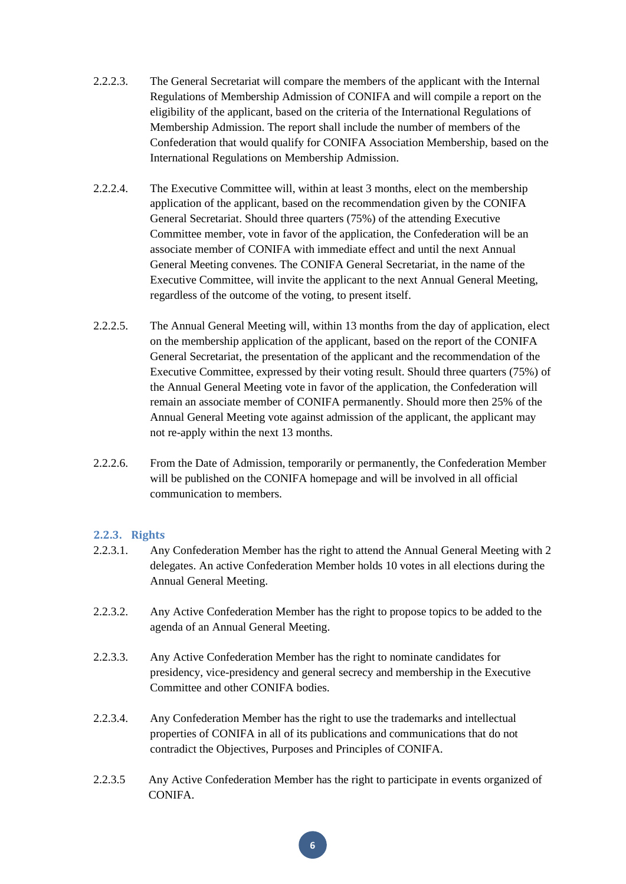- 2.2.2.3. The General Secretariat will compare the members of the applicant with the Internal Regulations of Membership Admission of CONIFA and will compile a report on the eligibility of the applicant, based on the criteria of the International Regulations of Membership Admission. The report shall include the number of members of the Confederation that would qualify for CONIFA Association Membership, based on the International Regulations on Membership Admission.
- 2.2.2.4. The Executive Committee will, within at least 3 months, elect on the membership application of the applicant, based on the recommendation given by the CONIFA General Secretariat. Should three quarters (75%) of the attending Executive Committee member, vote in favor of the application, the Confederation will be an associate member of CONIFA with immediate effect and until the next Annual General Meeting convenes. The CONIFA General Secretariat, in the name of the Executive Committee, will invite the applicant to the next Annual General Meeting, regardless of the outcome of the voting, to present itself.
- 2.2.2.5. The Annual General Meeting will, within 13 months from the day of application, elect on the membership application of the applicant, based on the report of the CONIFA General Secretariat, the presentation of the applicant and the recommendation of the Executive Committee, expressed by their voting result. Should three quarters (75%) of the Annual General Meeting vote in favor of the application, the Confederation will remain an associate member of CONIFA permanently. Should more then 25% of the Annual General Meeting vote against admission of the applicant, the applicant may not re-apply within the next 13 months.
- 2.2.2.6. From the Date of Admission, temporarily or permanently, the Confederation Member will be published on the CONIFA homepage and will be involved in all official communication to members.

#### <span id="page-6-0"></span>**2.2.3. Rights**

- 2.2.3.1. Any Confederation Member has the right to attend the Annual General Meeting with 2 delegates. An active Confederation Member holds 10 votes in all elections during the Annual General Meeting.
- 2.2.3.2. Any Active Confederation Member has the right to propose topics to be added to the agenda of an Annual General Meeting.
- 2.2.3.3. Any Active Confederation Member has the right to nominate candidates for presidency, vice-presidency and general secrecy and membership in the Executive Committee and other CONIFA bodies.
- 2.2.3.4. Any Confederation Member has the right to use the trademarks and intellectual properties of CONIFA in all of its publications and communications that do not contradict the Objectives, Purposes and Principles of CONIFA.
- 2.2.3.5 Any Active Confederation Member has the right to participate in events organized of CONIFA.

**6**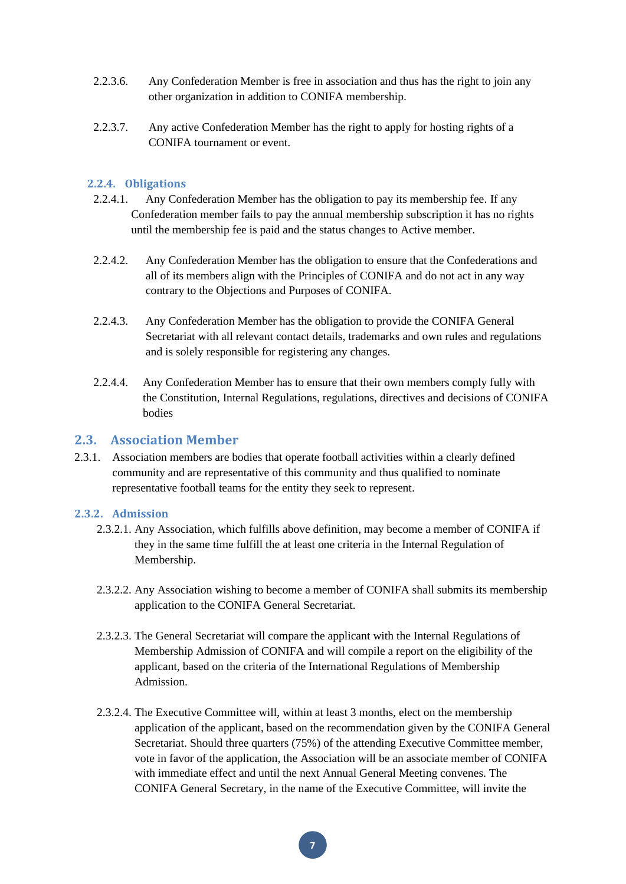- 2.2.3.6. Any Confederation Member is free in association and thus has the right to join any other organization in addition to CONIFA membership.
- 2.2.3.7. Any active Confederation Member has the right to apply for hosting rights of a CONIFA tournament or event.

#### <span id="page-7-0"></span>**2.2.4. Obligations**

- 2.2.4.1. Any Confederation Member has the obligation to pay its membership fee. If any Confederation member fails to pay the annual membership subscription it has no rights until the membership fee is paid and the status changes to Active member.
- 2.2.4.2. Any Confederation Member has the obligation to ensure that the Confederations and all of its members align with the Principles of CONIFA and do not act in any way contrary to the Objections and Purposes of CONIFA.
- 2.2.4.3. Any Confederation Member has the obligation to provide the CONIFA General Secretariat with all relevant contact details, trademarks and own rules and regulations and is solely responsible for registering any changes.
- 2.2.4.4. Any Confederation Member has to ensure that their own members comply fully with the Constitution, Internal Regulations, regulations, directives and decisions of CONIFA bodies

#### <span id="page-7-1"></span>**2.3. Association Member**

2.3.1. Association members are bodies that operate football activities within a clearly defined community and are representative of this community and thus qualified to nominate representative football teams for the entity they seek to represent.

#### <span id="page-7-2"></span>**2.3.2. Admission**

- 2.3.2.1. Any Association, which fulfills above definition, may become a member of CONIFA if they in the same time fulfill the at least one criteria in the Internal Regulation of Membership.
- 2.3.2.2. Any Association wishing to become a member of CONIFA shall submits its membership application to the CONIFA General Secretariat.
- 2.3.2.3. The General Secretariat will compare the applicant with the Internal Regulations of Membership Admission of CONIFA and will compile a report on the eligibility of the applicant, based on the criteria of the International Regulations of Membership Admission.
- 2.3.2.4. The Executive Committee will, within at least 3 months, elect on the membership application of the applicant, based on the recommendation given by the CONIFA General Secretariat. Should three quarters (75%) of the attending Executive Committee member, vote in favor of the application, the Association will be an associate member of CONIFA with immediate effect and until the next Annual General Meeting convenes. The CONIFA General Secretary, in the name of the Executive Committee, will invite the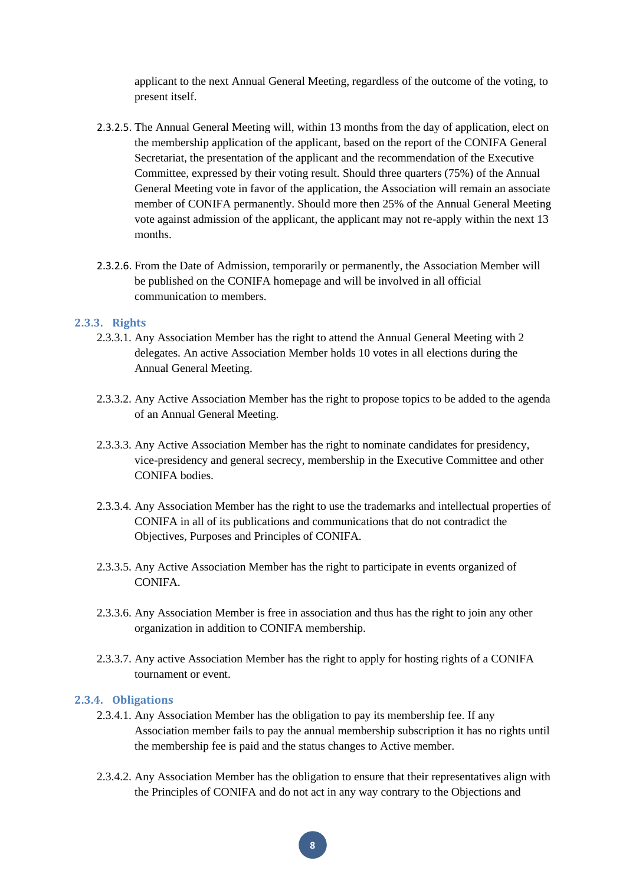applicant to the next Annual General Meeting, regardless of the outcome of the voting, to present itself.

- 2.3.2.5. The Annual General Meeting will, within 13 months from the day of application, elect on the membership application of the applicant, based on the report of the CONIFA General Secretariat, the presentation of the applicant and the recommendation of the Executive Committee, expressed by their voting result. Should three quarters (75%) of the Annual General Meeting vote in favor of the application, the Association will remain an associate member of CONIFA permanently. Should more then 25% of the Annual General Meeting vote against admission of the applicant, the applicant may not re-apply within the next 13 months.
- 2.3.2.6. From the Date of Admission, temporarily or permanently, the Association Member will be published on the CONIFA homepage and will be involved in all official communication to members.

#### <span id="page-8-0"></span>**2.3.3. Rights**

- 2.3.3.1. Any Association Member has the right to attend the Annual General Meeting with 2 delegates. An active Association Member holds 10 votes in all elections during the Annual General Meeting.
- 2.3.3.2. Any Active Association Member has the right to propose topics to be added to the agenda of an Annual General Meeting.
- 2.3.3.3. Any Active Association Member has the right to nominate candidates for presidency, vice-presidency and general secrecy, membership in the Executive Committee and other CONIFA bodies.
- 2.3.3.4. Any Association Member has the right to use the trademarks and intellectual properties of CONIFA in all of its publications and communications that do not contradict the Objectives, Purposes and Principles of CONIFA.
- 2.3.3.5. Any Active Association Member has the right to participate in events organized of CONIFA.
- 2.3.3.6. Any Association Member is free in association and thus has the right to join any other organization in addition to CONIFA membership.
- 2.3.3.7. Any active Association Member has the right to apply for hosting rights of a CONIFA tournament or event.

## <span id="page-8-1"></span>**2.3.4. Obligations**

- 2.3.4.1. Any Association Member has the obligation to pay its membership fee. If any Association member fails to pay the annual membership subscription it has no rights until the membership fee is paid and the status changes to Active member.
- 2.3.4.2. Any Association Member has the obligation to ensure that their representatives align with the Principles of CONIFA and do not act in any way contrary to the Objections and

**8**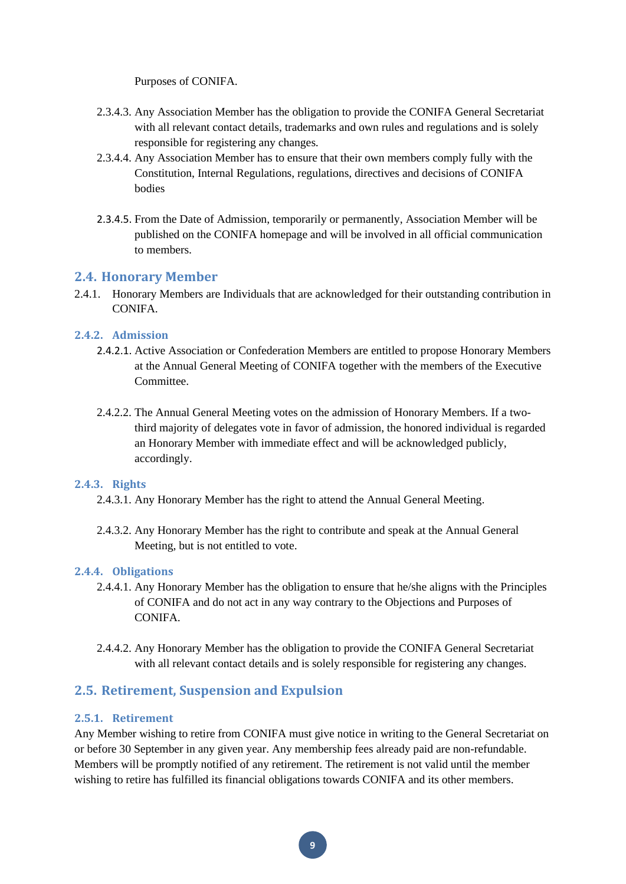Purposes of CONIFA.

- 2.3.4.3. Any Association Member has the obligation to provide the CONIFA General Secretariat with all relevant contact details, trademarks and own rules and regulations and is solely responsible for registering any changes.
- 2.3.4.4. Any Association Member has to ensure that their own members comply fully with the Constitution, Internal Regulations, regulations, directives and decisions of CONIFA bodies
- 2.3.4.5. From the Date of Admission, temporarily or permanently, Association Member will be published on the CONIFA homepage and will be involved in all official communication to members.

#### <span id="page-9-0"></span>**2.4. Honorary Member**

2.4.1. Honorary Members are Individuals that are acknowledged for their outstanding contribution in CONIFA.

# <span id="page-9-1"></span>**2.4.2. Admission**

- 2.4.2.1. Active Association or Confederation Members are entitled to propose Honorary Members at the Annual General Meeting of CONIFA together with the members of the Executive Committee.
- 2.4.2.2. The Annual General Meeting votes on the admission of Honorary Members. If a twothird majority of delegates vote in favor of admission, the honored individual is regarded an Honorary Member with immediate effect and will be acknowledged publicly, accordingly.

#### <span id="page-9-2"></span>**2.4.3. Rights**

- 2.4.3.1. Any Honorary Member has the right to attend the Annual General Meeting.
- 2.4.3.2. Any Honorary Member has the right to contribute and speak at the Annual General Meeting, but is not entitled to vote.

#### <span id="page-9-3"></span>**2.4.4. Obligations**

- 2.4.4.1. Any Honorary Member has the obligation to ensure that he/she aligns with the Principles of CONIFA and do not act in any way contrary to the Objections and Purposes of CONIFA.
- 2.4.4.2. Any Honorary Member has the obligation to provide the CONIFA General Secretariat with all relevant contact details and is solely responsible for registering any changes.

# <span id="page-9-4"></span>**2.5. Retirement, Suspension and Expulsion**

# <span id="page-9-5"></span>**2.5.1. Retirement**

Any Member wishing to retire from CONIFA must give notice in writing to the General Secretariat on or before 30 September in any given year. Any membership fees already paid are non-refundable. Members will be promptly notified of any retirement. The retirement is not valid until the member wishing to retire has fulfilled its financial obligations towards CONIFA and its other members.

**9**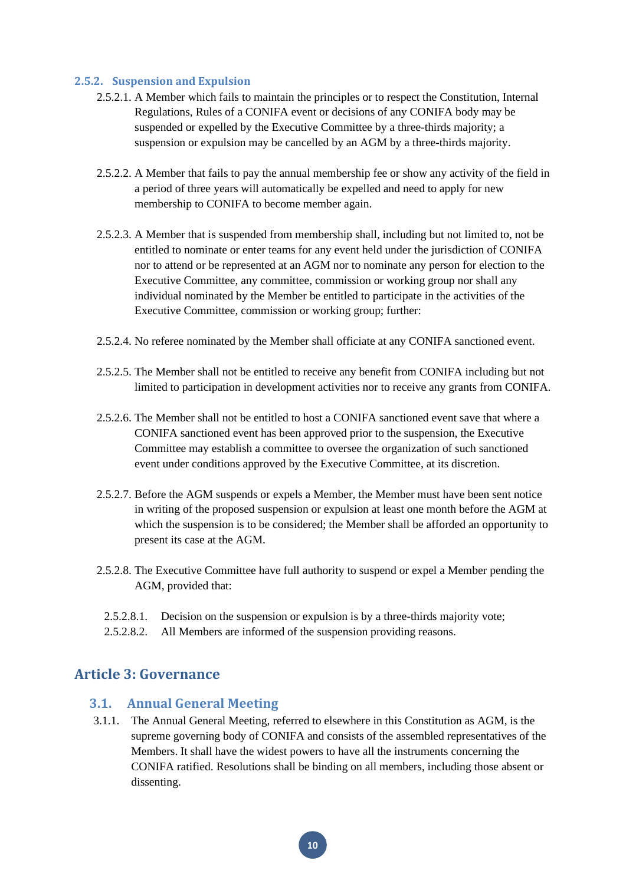#### <span id="page-10-0"></span>**2.5.2. Suspension and Expulsion**

- 2.5.2.1. A Member which fails to maintain the principles or to respect the Constitution, Internal Regulations, Rules of a CONIFA event or decisions of any CONIFA body may be suspended or expelled by the Executive Committee by a three-thirds majority; a suspension or expulsion may be cancelled by an AGM by a three-thirds majority.
- 2.5.2.2. A Member that fails to pay the annual membership fee or show any activity of the field in a period of three years will automatically be expelled and need to apply for new membership to CONIFA to become member again.
- 2.5.2.3. A Member that is suspended from membership shall, including but not limited to, not be entitled to nominate or enter teams for any event held under the jurisdiction of CONIFA nor to attend or be represented at an AGM nor to nominate any person for election to the Executive Committee, any committee, commission or working group nor shall any individual nominated by the Member be entitled to participate in the activities of the Executive Committee, commission or working group; further:
- 2.5.2.4. No referee nominated by the Member shall officiate at any CONIFA sanctioned event.
- 2.5.2.5. The Member shall not be entitled to receive any benefit from CONIFA including but not limited to participation in development activities nor to receive any grants from CONIFA.
- 2.5.2.6. The Member shall not be entitled to host a CONIFA sanctioned event save that where a CONIFA sanctioned event has been approved prior to the suspension, the Executive Committee may establish a committee to oversee the organization of such sanctioned event under conditions approved by the Executive Committee, at its discretion.
- 2.5.2.7. Before the AGM suspends or expels a Member, the Member must have been sent notice in writing of the proposed suspension or expulsion at least one month before the AGM at which the suspension is to be considered; the Member shall be afforded an opportunity to present its case at the AGM.
- 2.5.2.8. The Executive Committee have full authority to suspend or expel a Member pending the AGM, provided that:
	- 2.5.2.8.1. Decision on the suspension or expulsion is by a three-thirds majority vote;
	- 2.5.2.8.2. All Members are informed of the suspension providing reasons.

# <span id="page-10-2"></span><span id="page-10-1"></span>**Article 3: Governance**

# **3.1. Annual General Meeting**

3.1.1. The Annual General Meeting, referred to elsewhere in this Constitution as AGM, is the supreme governing body of CONIFA and consists of the assembled representatives of the Members. It shall have the widest powers to have all the instruments concerning the CONIFA ratified. Resolutions shall be binding on all members, including those absent or dissenting.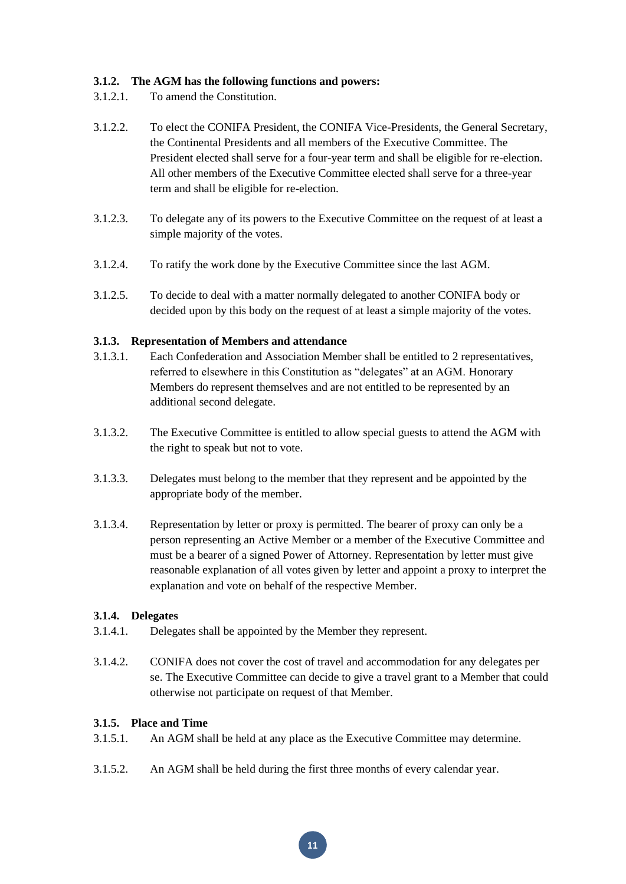## **3.1.2. The AGM has the following functions and powers:**

- 3.1.2.1. To amend the Constitution.
- 3.1.2.2. To elect the CONIFA President, the CONIFA Vice-Presidents, the General Secretary, the Continental Presidents and all members of the Executive Committee. The President elected shall serve for a four-year term and shall be eligible for re-election. All other members of the Executive Committee elected shall serve for a three-year term and shall be eligible for re-election.
- 3.1.2.3. To delegate any of its powers to the Executive Committee on the request of at least a simple majority of the votes.
- 3.1.2.4. To ratify the work done by the Executive Committee since the last AGM.
- 3.1.2.5. To decide to deal with a matter normally delegated to another CONIFA body or decided upon by this body on the request of at least a simple majority of the votes.

#### **3.1.3. Representation of Members and attendance**

- 3.1.3.1. Each Confederation and Association Member shall be entitled to 2 representatives, referred to elsewhere in this Constitution as "delegates" at an AGM. Honorary Members do represent themselves and are not entitled to be represented by an additional second delegate.
- 3.1.3.2. The Executive Committee is entitled to allow special guests to attend the AGM with the right to speak but not to vote.
- 3.1.3.3. Delegates must belong to the member that they represent and be appointed by the appropriate body of the member.
- 3.1.3.4. Representation by letter or proxy is permitted. The bearer of proxy can only be a person representing an Active Member or a member of the Executive Committee and must be a bearer of a signed Power of Attorney. Representation by letter must give reasonable explanation of all votes given by letter and appoint a proxy to interpret the explanation and vote on behalf of the respective Member.

#### **3.1.4. Delegates**

- 3.1.4.1. Delegates shall be appointed by the Member they represent.
- 3.1.4.2. CONIFA does not cover the cost of travel and accommodation for any delegates per se. The Executive Committee can decide to give a travel grant to a Member that could otherwise not participate on request of that Member.

#### **3.1.5. Place and Time**

- 3.1.5.1. An AGM shall be held at any place as the Executive Committee may determine.
- 3.1.5.2. An AGM shall be held during the first three months of every calendar year.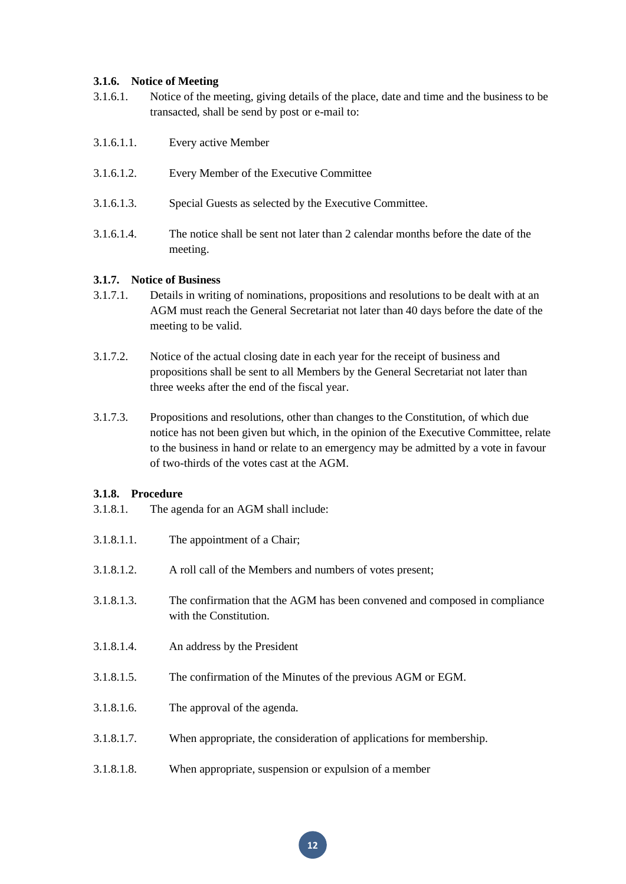#### **3.1.6. Notice of Meeting**

- 3.1.6.1. Notice of the meeting, giving details of the place, date and time and the business to be transacted, shall be send by post or e-mail to:
- 3.1.6.1.1. Every active Member
- 3.1.6.1.2. Every Member of the Executive Committee
- 3.1.6.1.3. Special Guests as selected by the Executive Committee.
- 3.1.6.1.4. The notice shall be sent not later than 2 calendar months before the date of the meeting.

#### **3.1.7. Notice of Business**

- 3.1.7.1. Details in writing of nominations, propositions and resolutions to be dealt with at an AGM must reach the General Secretariat not later than 40 days before the date of the meeting to be valid.
- 3.1.7.2. Notice of the actual closing date in each year for the receipt of business and propositions shall be sent to all Members by the General Secretariat not later than three weeks after the end of the fiscal year.
- 3.1.7.3. Propositions and resolutions, other than changes to the Constitution, of which due notice has not been given but which, in the opinion of the Executive Committee, relate to the business in hand or relate to an emergency may be admitted by a vote in favour of two-thirds of the votes cast at the AGM.

#### **3.1.8. Procedure**

3.1.8.1. The agenda for an AGM shall include:

| 3.1.8.1.1. | The appointment of a Chair;                                                                          |
|------------|------------------------------------------------------------------------------------------------------|
| 3.1.8.1.2. | A roll call of the Members and numbers of votes present;                                             |
| 3.1.8.1.3. | The confirmation that the AGM has been convened and composed in compliance<br>with the Constitution. |
| 3.1.8.1.4. | An address by the President                                                                          |
| 3.1.8.1.5. | The confirmation of the Minutes of the previous AGM or EGM.                                          |
| 3.1.8.1.6. | The approval of the agenda.                                                                          |
| 3.1.8.1.7. | When appropriate, the consideration of applications for membership.                                  |
| 3.1.8.1.8. | When appropriate, suspension or expulsion of a member                                                |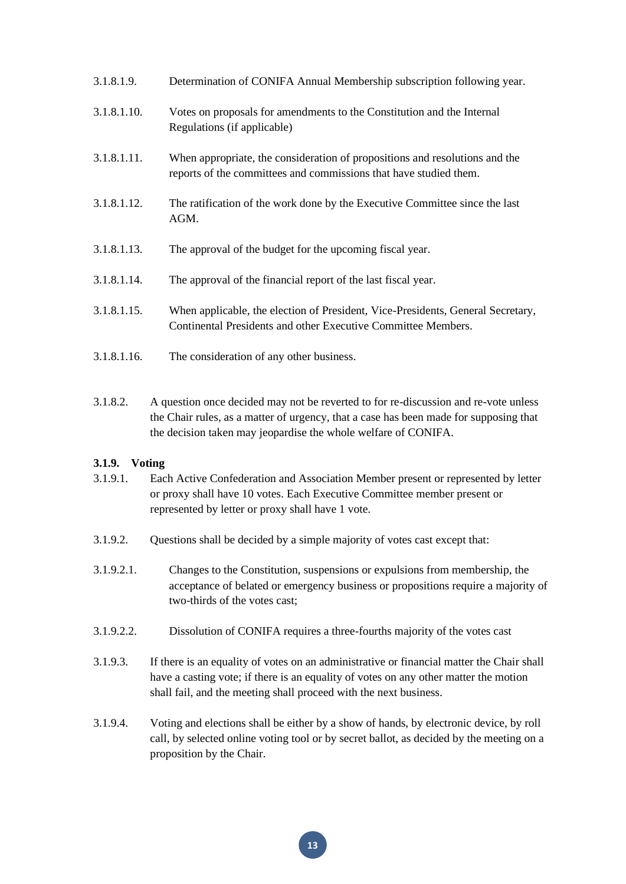| 3.1.8.1.9.  | Determination of CONIFA Annual Membership subscription following year.                                                                           |
|-------------|--------------------------------------------------------------------------------------------------------------------------------------------------|
| 3.1.8.1.10. | Votes on proposals for amendments to the Constitution and the Internal<br>Regulations (if applicable)                                            |
| 3.1.8.1.11. | When appropriate, the consideration of propositions and resolutions and the<br>reports of the committees and commissions that have studied them. |
| 3.1.8.1.12. | The ratification of the work done by the Executive Committee since the last<br>AGM.                                                              |
| 3.1.8.1.13. | The approval of the budget for the upcoming fiscal year.                                                                                         |
| 3.1.8.1.14. | The approval of the financial report of the last fiscal year.                                                                                    |
| 3.1.8.1.15. | When applicable, the election of President, Vice-Presidents, General Secretary,<br>Continental Presidents and other Executive Committee Members. |
| 3.1.8.1.16. | The consideration of any other business.                                                                                                         |

3.1.8.2. A question once decided may not be reverted to for re-discussion and re-vote unless the Chair rules, as a matter of urgency, that a case has been made for supposing that the decision taken may jeopardise the whole welfare of CONIFA.

# **3.1.9. Voting**

- 3.1.9.1. Each Active Confederation and Association Member present or represented by letter or proxy shall have 10 votes. Each Executive Committee member present or represented by letter or proxy shall have 1 vote.
- 3.1.9.2. Questions shall be decided by a simple majority of votes cast except that:
- 3.1.9.2.1. Changes to the Constitution, suspensions or expulsions from membership, the acceptance of belated or emergency business or propositions require a majority of two-thirds of the votes cast;
- 3.1.9.2.2. Dissolution of CONIFA requires a three-fourths majority of the votes cast
- 3.1.9.3. If there is an equality of votes on an administrative or financial matter the Chair shall have a casting vote; if there is an equality of votes on any other matter the motion shall fail, and the meeting shall proceed with the next business.
- 3.1.9.4. Voting and elections shall be either by a show of hands, by electronic device, by roll call, by selected online voting tool or by secret ballot, as decided by the meeting on a proposition by the Chair.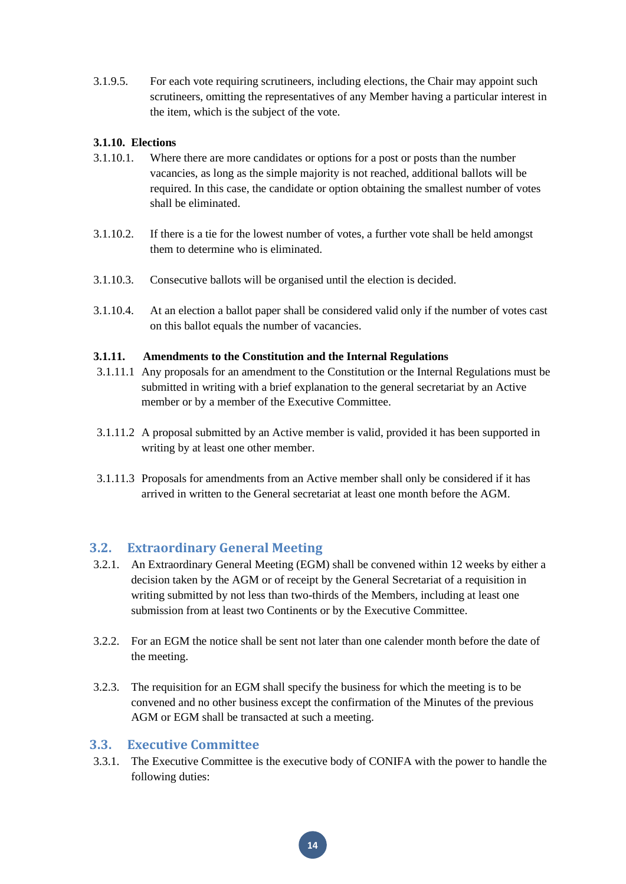3.1.9.5. For each vote requiring scrutineers, including elections, the Chair may appoint such scrutineers, omitting the representatives of any Member having a particular interest in the item, which is the subject of the vote.

#### **3.1.10. Elections**

- 3.1.10.1. Where there are more candidates or options for a post or posts than the number vacancies, as long as the simple majority is not reached, additional ballots will be required. In this case, the candidate or option obtaining the smallest number of votes shall be eliminated.
- 3.1.10.2. If there is a tie for the lowest number of votes, a further vote shall be held amongst them to determine who is eliminated.
- 3.1.10.3. Consecutive ballots will be organised until the election is decided.
- 3.1.10.4. At an election a ballot paper shall be considered valid only if the number of votes cast on this ballot equals the number of vacancies.

#### **3.1.11. Amendments to the Constitution and the Internal Regulations**

- 3.1.11.1 Any proposals for an amendment to the Constitution or the Internal Regulations must be submitted in writing with a brief explanation to the general secretariat by an Active member or by a member of the Executive Committee.
- 3.1.11.2 A proposal submitted by an Active member is valid, provided it has been supported in writing by at least one other member.
- 3.1.11.3 Proposals for amendments from an Active member shall only be considered if it has arrived in written to the General secretariat at least one month before the AGM.

# <span id="page-14-0"></span>**3.2. Extraordinary General Meeting**

- 3.2.1. An Extraordinary General Meeting (EGM) shall be convened within 12 weeks by either a decision taken by the AGM or of receipt by the General Secretariat of a requisition in writing submitted by not less than two-thirds of the Members, including at least one submission from at least two Continents or by the Executive Committee.
- 3.2.2. For an EGM the notice shall be sent not later than one calender month before the date of the meeting.
- 3.2.3. The requisition for an EGM shall specify the business for which the meeting is to be convened and no other business except the confirmation of the Minutes of the previous AGM or EGM shall be transacted at such a meeting.

#### <span id="page-14-1"></span>**3.3. Executive Committee**

3.3.1. The Executive Committee is the executive body of CONIFA with the power to handle the following duties: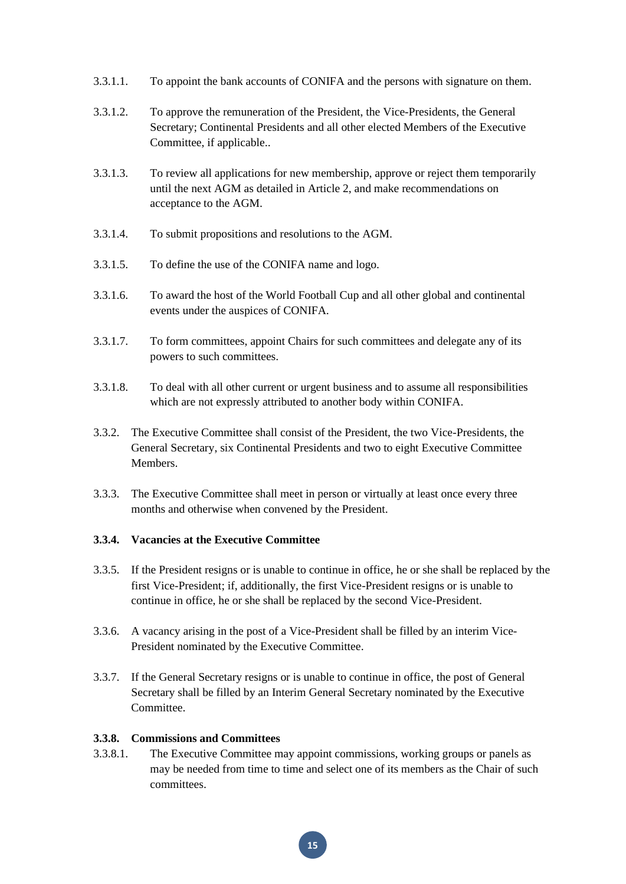- 3.3.1.1. To appoint the bank accounts of CONIFA and the persons with signature on them.
- 3.3.1.2. To approve the remuneration of the President, the Vice-Presidents, the General Secretary; Continental Presidents and all other elected Members of the Executive Committee, if applicable..
- 3.3.1.3. To review all applications for new membership, approve or reject them temporarily until the next AGM as detailed in Article 2, and make recommendations on acceptance to the AGM.
- 3.3.1.4. To submit propositions and resolutions to the AGM.
- 3.3.1.5. To define the use of the CONIFA name and logo.
- 3.3.1.6. To award the host of the World Football Cup and all other global and continental events under the auspices of CONIFA.
- 3.3.1.7. To form committees, appoint Chairs for such committees and delegate any of its powers to such committees.
- 3.3.1.8. To deal with all other current or urgent business and to assume all responsibilities which are not expressly attributed to another body within CONIFA.
- 3.3.2. The Executive Committee shall consist of the President, the two Vice-Presidents, the General Secretary, six Continental Presidents and two to eight Executive Committee Members.
- 3.3.3. The Executive Committee shall meet in person or virtually at least once every three months and otherwise when convened by the President.

#### **3.3.4. Vacancies at the Executive Committee**

- 3.3.5. If the President resigns or is unable to continue in office, he or she shall be replaced by the first Vice-President; if, additionally, the first Vice-President resigns or is unable to continue in office, he or she shall be replaced by the second Vice-President.
- 3.3.6. A vacancy arising in the post of a Vice-President shall be filled by an interim Vice-President nominated by the Executive Committee.
- 3.3.7. If the General Secretary resigns or is unable to continue in office, the post of General Secretary shall be filled by an Interim General Secretary nominated by the Executive Committee.

#### **3.3.8. Commissions and Committees**

3.3.8.1. The Executive Committee may appoint commissions, working groups or panels as may be needed from time to time and select one of its members as the Chair of such committees.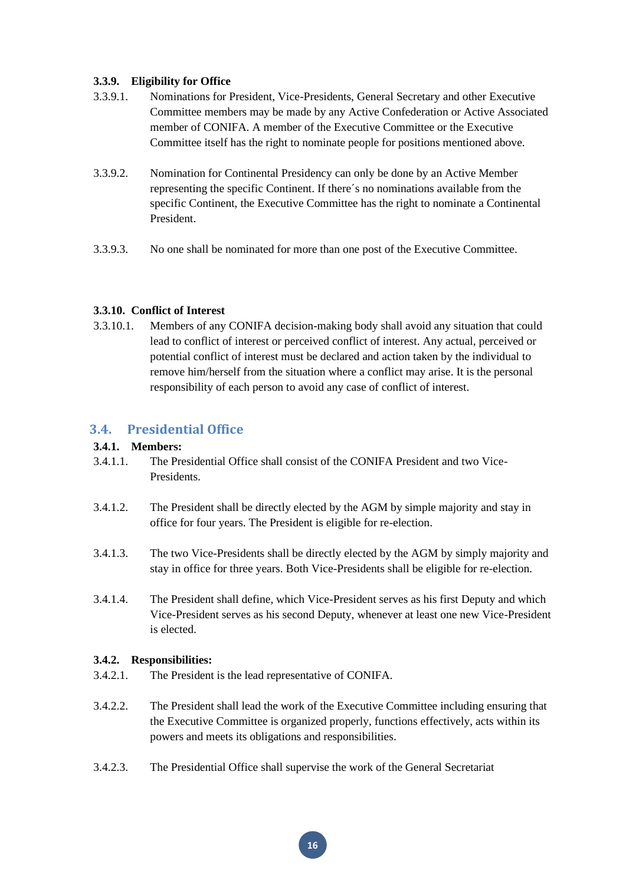## **3.3.9. Eligibility for Office**

- 3.3.9.1. Nominations for President, Vice-Presidents, General Secretary and other Executive Committee members may be made by any Active Confederation or Active Associated member of CONIFA. A member of the Executive Committee or the Executive Committee itself has the right to nominate people for positions mentioned above.
- 3.3.9.2. Nomination for Continental Presidency can only be done by an Active Member representing the specific Continent. If there´s no nominations available from the specific Continent, the Executive Committee has the right to nominate a Continental President.
- 3.3.9.3. No one shall be nominated for more than one post of the Executive Committee.

# **3.3.10. Conflict of Interest**

3.3.10.1. Members of any CONIFA decision-making body shall avoid any situation that could lead to conflict of interest or perceived conflict of interest. Any actual, perceived or potential conflict of interest must be declared and action taken by the individual to remove him/herself from the situation where a conflict may arise. It is the personal responsibility of each person to avoid any case of conflict of interest.

# <span id="page-16-0"></span>**3.4. Presidential Office**

## **3.4.1. Members:**

- 3.4.1.1. The Presidential Office shall consist of the CONIFA President and two Vice-Presidents.
- 3.4.1.2. The President shall be directly elected by the AGM by simple majority and stay in office for four years. The President is eligible for re-election.
- 3.4.1.3. The two Vice-Presidents shall be directly elected by the AGM by simply majority and stay in office for three years. Both Vice-Presidents shall be eligible for re-election.
- 3.4.1.4. The President shall define, which Vice-President serves as his first Deputy and which Vice-President serves as his second Deputy, whenever at least one new Vice-President is elected.

#### **3.4.2. Responsibilities:**

- 3.4.2.1. The President is the lead representative of CONIFA.
- 3.4.2.2. The President shall lead the work of the Executive Committee including ensuring that the Executive Committee is organized properly, functions effectively, acts within its powers and meets its obligations and responsibilities.
- 3.4.2.3. The Presidential Office shall supervise the work of the General Secretariat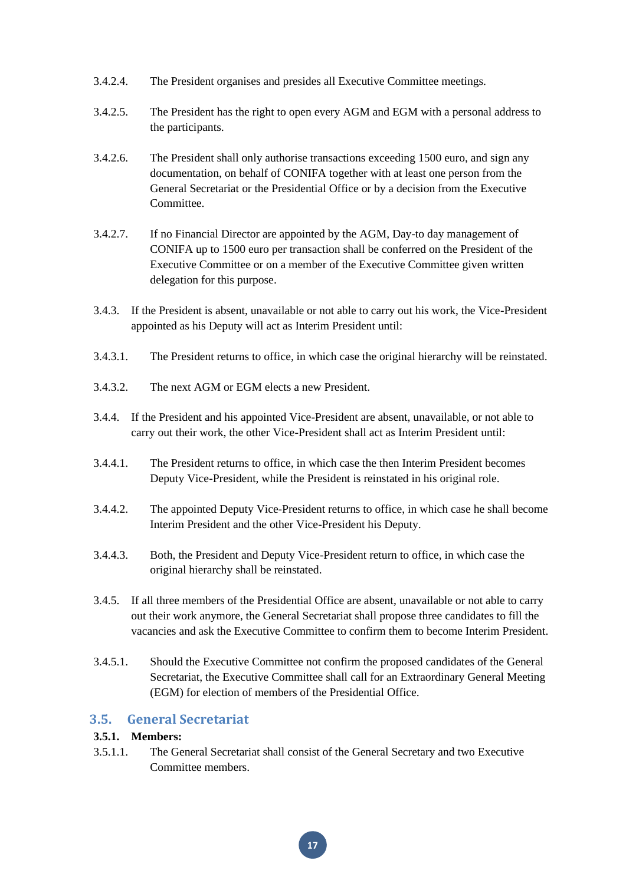- 3.4.2.4. The President organises and presides all Executive Committee meetings.
- 3.4.2.5. The President has the right to open every AGM and EGM with a personal address to the participants.
- 3.4.2.6. The President shall only authorise transactions exceeding 1500 euro, and sign any documentation, on behalf of CONIFA together with at least one person from the General Secretariat or the Presidential Office or by a decision from the Executive **Committee**
- 3.4.2.7. If no Financial Director are appointed by the AGM, Day-to day management of CONIFA up to 1500 euro per transaction shall be conferred on the President of the Executive Committee or on a member of the Executive Committee given written delegation for this purpose.
- 3.4.3. If the President is absent, unavailable or not able to carry out his work, the Vice-President appointed as his Deputy will act as Interim President until:
- 3.4.3.1. The President returns to office, in which case the original hierarchy will be reinstated.
- 3.4.3.2. The next AGM or EGM elects a new President.
- 3.4.4. If the President and his appointed Vice-President are absent, unavailable, or not able to carry out their work, the other Vice-President shall act as Interim President until:
- 3.4.4.1. The President returns to office, in which case the then Interim President becomes Deputy Vice-President, while the President is reinstated in his original role.
- 3.4.4.2. The appointed Deputy Vice-President returns to office, in which case he shall become Interim President and the other Vice-President his Deputy.
- 3.4.4.3. Both, the President and Deputy Vice-President return to office, in which case the original hierarchy shall be reinstated.
- 3.4.5. If all three members of the Presidential Office are absent, unavailable or not able to carry out their work anymore, the General Secretariat shall propose three candidates to fill the vacancies and ask the Executive Committee to confirm them to become Interim President.
- 3.4.5.1. Should the Executive Committee not confirm the proposed candidates of the General Secretariat, the Executive Committee shall call for an Extraordinary General Meeting (EGM) for election of members of the Presidential Office.

# <span id="page-17-0"></span>**3.5. General Secretariat**

## **3.5.1. Members:**

3.5.1.1. The General Secretariat shall consist of the General Secretary and two Executive Committee members.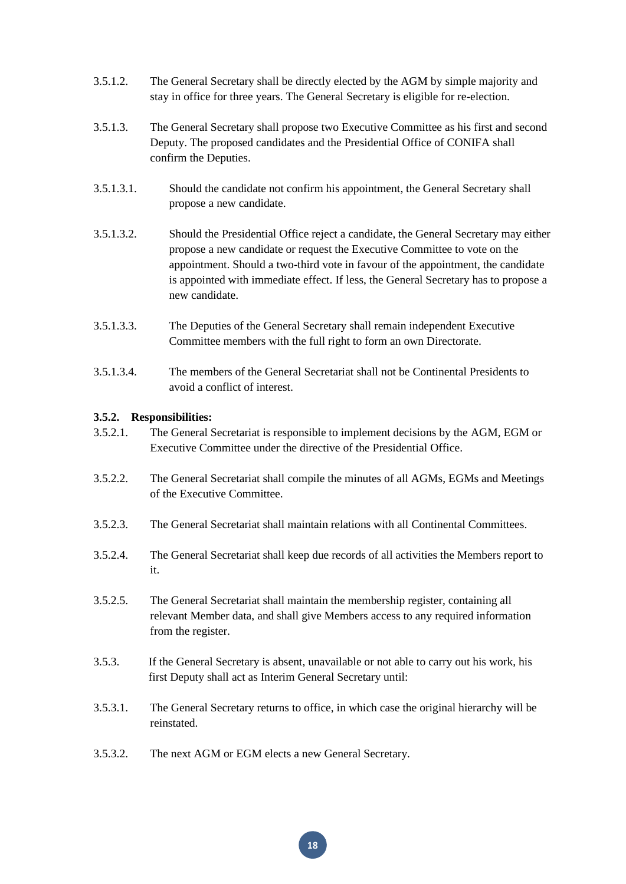- 3.5.1.2. The General Secretary shall be directly elected by the AGM by simple majority and stay in office for three years. The General Secretary is eligible for re-election.
- 3.5.1.3. The General Secretary shall propose two Executive Committee as his first and second Deputy. The proposed candidates and the Presidential Office of CONIFA shall confirm the Deputies.
- 3.5.1.3.1. Should the candidate not confirm his appointment, the General Secretary shall propose a new candidate.
- 3.5.1.3.2. Should the Presidential Office reject a candidate, the General Secretary may either propose a new candidate or request the Executive Committee to vote on the appointment. Should a two-third vote in favour of the appointment, the candidate is appointed with immediate effect. If less, the General Secretary has to propose a new candidate.
- 3.5.1.3.3. The Deputies of the General Secretary shall remain independent Executive Committee members with the full right to form an own Directorate.
- 3.5.1.3.4. The members of the General Secretariat shall not be Continental Presidents to avoid a conflict of interest.

#### **3.5.2. Responsibilities:**

- 3.5.2.1. The General Secretariat is responsible to implement decisions by the AGM, EGM or Executive Committee under the directive of the Presidential Office.
- 3.5.2.2. The General Secretariat shall compile the minutes of all AGMs, EGMs and Meetings of the Executive Committee.
- 3.5.2.3. The General Secretariat shall maintain relations with all Continental Committees.
- 3.5.2.4. The General Secretariat shall keep due records of all activities the Members report to it.
- 3.5.2.5. The General Secretariat shall maintain the membership register, containing all relevant Member data, and shall give Members access to any required information from the register.
- 3.5.3. If the General Secretary is absent, unavailable or not able to carry out his work, his first Deputy shall act as Interim General Secretary until:
- 3.5.3.1. The General Secretary returns to office, in which case the original hierarchy will be reinstated.
- 3.5.3.2. The next AGM or EGM elects a new General Secretary.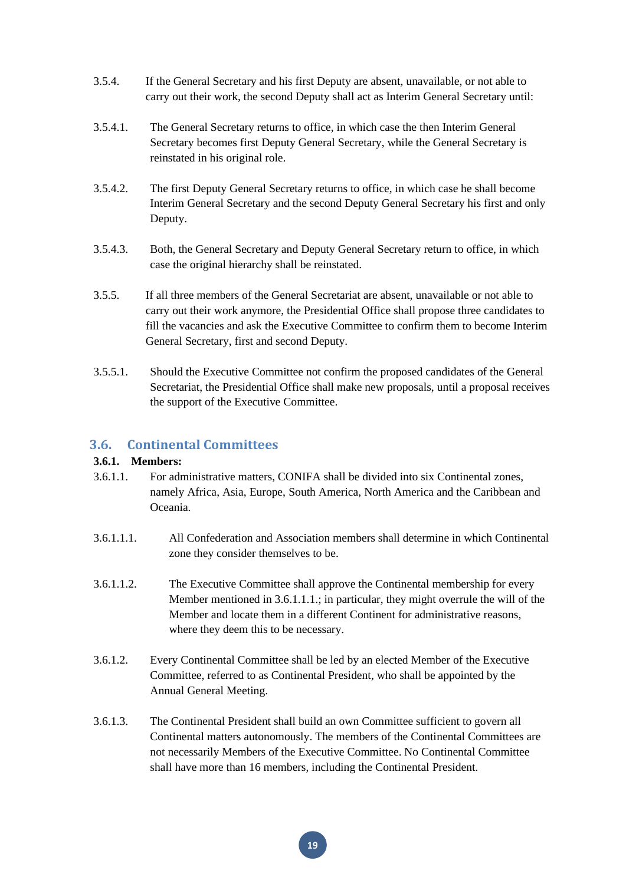- 3.5.4. If the General Secretary and his first Deputy are absent, unavailable, or not able to carry out their work, the second Deputy shall act as Interim General Secretary until:
- 3.5.4.1. The General Secretary returns to office, in which case the then Interim General Secretary becomes first Deputy General Secretary, while the General Secretary is reinstated in his original role.
- 3.5.4.2. The first Deputy General Secretary returns to office, in which case he shall become Interim General Secretary and the second Deputy General Secretary his first and only Deputy.
- 3.5.4.3. Both, the General Secretary and Deputy General Secretary return to office, in which case the original hierarchy shall be reinstated.
- 3.5.5. If all three members of the General Secretariat are absent, unavailable or not able to carry out their work anymore, the Presidential Office shall propose three candidates to fill the vacancies and ask the Executive Committee to confirm them to become Interim General Secretary, first and second Deputy.
- 3.5.5.1. Should the Executive Committee not confirm the proposed candidates of the General Secretariat, the Presidential Office shall make new proposals, until a proposal receives the support of the Executive Committee.

# <span id="page-19-0"></span>**3.6. Continental Committees**

#### **3.6.1. Members:**

- 3.6.1.1. For administrative matters, CONIFA shall be divided into six Continental zones, namely Africa, Asia, Europe, South America, North America and the Caribbean and Oceania.
- 3.6.1.1.1. All Confederation and Association members shall determine in which Continental zone they consider themselves to be.
- 3.6.1.1.2. The Executive Committee shall approve the Continental membership for every Member mentioned in 3.6.1.1.1.; in particular, they might overrule the will of the Member and locate them in a different Continent for administrative reasons, where they deem this to be necessary.
- 3.6.1.2. Every Continental Committee shall be led by an elected Member of the Executive Committee, referred to as Continental President, who shall be appointed by the Annual General Meeting.
- 3.6.1.3. The Continental President shall build an own Committee sufficient to govern all Continental matters autonomously. The members of the Continental Committees are not necessarily Members of the Executive Committee. No Continental Committee shall have more than 16 members, including the Continental President.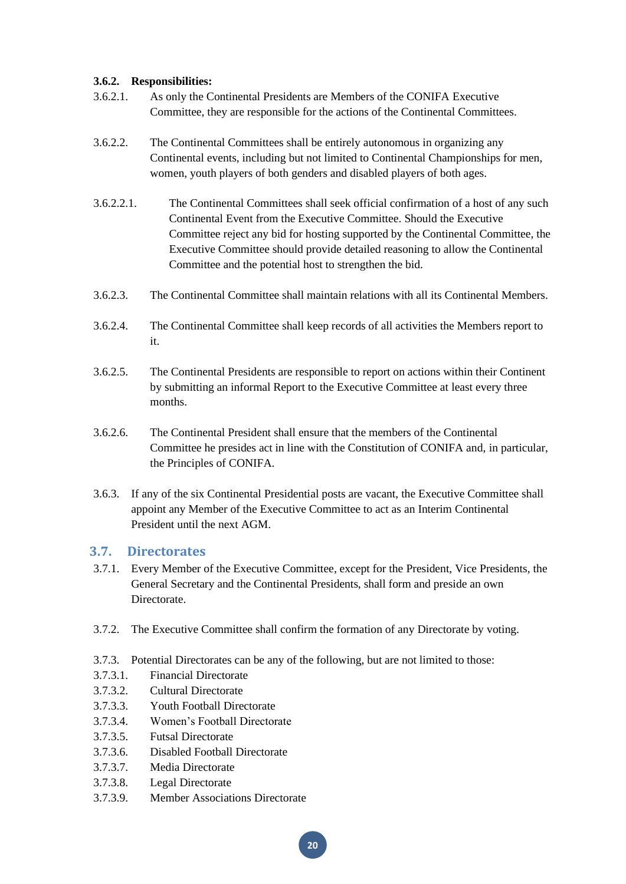# **3.6.2. Responsibilities:**

- 3.6.2.1. As only the Continental Presidents are Members of the CONIFA Executive Committee, they are responsible for the actions of the Continental Committees.
- 3.6.2.2. The Continental Committees shall be entirely autonomous in organizing any Continental events, including but not limited to Continental Championships for men, women, youth players of both genders and disabled players of both ages.
- 3.6.2.2.1. The Continental Committees shall seek official confirmation of a host of any such Continental Event from the Executive Committee. Should the Executive Committee reject any bid for hosting supported by the Continental Committee, the Executive Committee should provide detailed reasoning to allow the Continental Committee and the potential host to strengthen the bid.
- 3.6.2.3. The Continental Committee shall maintain relations with all its Continental Members.
- 3.6.2.4. The Continental Committee shall keep records of all activities the Members report to it.
- 3.6.2.5. The Continental Presidents are responsible to report on actions within their Continent by submitting an informal Report to the Executive Committee at least every three months.
- 3.6.2.6. The Continental President shall ensure that the members of the Continental Committee he presides act in line with the Constitution of CONIFA and, in particular, the Principles of CONIFA.
- 3.6.3. If any of the six Continental Presidential posts are vacant, the Executive Committee shall appoint any Member of the Executive Committee to act as an Interim Continental President until the next AGM.

# <span id="page-20-0"></span>**3.7. Directorates**

- 3.7.1. Every Member of the Executive Committee, except for the President, Vice Presidents, the General Secretary and the Continental Presidents, shall form and preside an own Directorate.
- 3.7.2. The Executive Committee shall confirm the formation of any Directorate by voting.
- 3.7.3. Potential Directorates can be any of the following, but are not limited to those:
- 3.7.3.1. Financial Directorate
- 3.7.3.2. Cultural Directorate
- 3.7.3.3. Youth Football Directorate
- 3.7.3.4. Women's Football Directorate
- 3.7.3.5. Futsal Directorate
- 3.7.3.6. Disabled Football Directorate
- 3.7.3.7. Media Directorate
- 3.7.3.8. Legal Directorate
- 3.7.3.9. Member Associations Directorate

**20**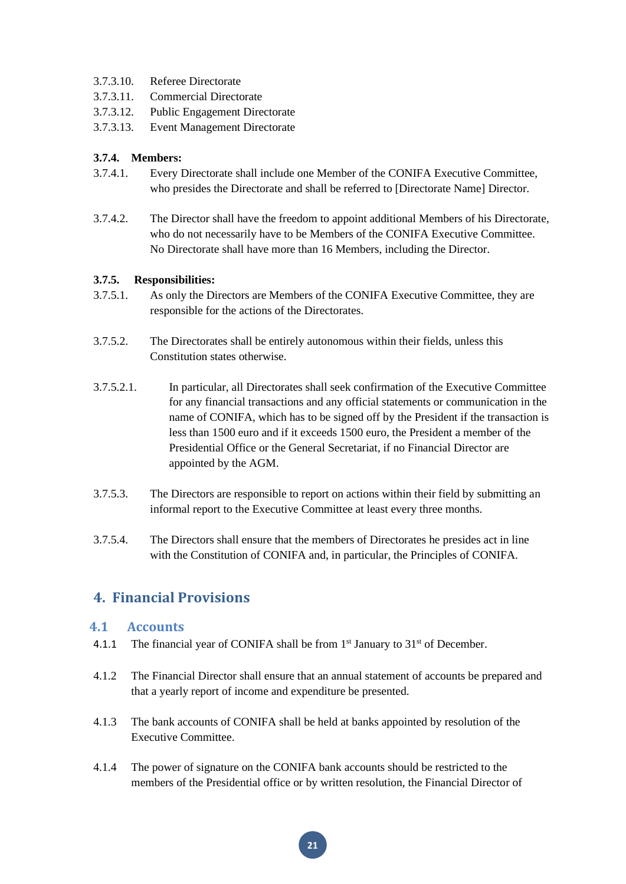- 3.7.3.10. Referee Directorate
- 3.7.3.11. Commercial Directorate
- 3.7.3.12. Public Engagement Directorate
- 3.7.3.13. Event Management Directorate

## **3.7.4. Members:**

- 3.7.4.1. Every Directorate shall include one Member of the CONIFA Executive Committee, who presides the Directorate and shall be referred to [Directorate Name] Director.
- 3.7.4.2. The Director shall have the freedom to appoint additional Members of his Directorate, who do not necessarily have to be Members of the CONIFA Executive Committee. No Directorate shall have more than 16 Members, including the Director.

#### **3.7.5. Responsibilities:**

- 3.7.5.1. As only the Directors are Members of the CONIFA Executive Committee, they are responsible for the actions of the Directorates.
- 3.7.5.2. The Directorates shall be entirely autonomous within their fields, unless this Constitution states otherwise.
- 3.7.5.2.1. In particular, all Directorates shall seek confirmation of the Executive Committee for any financial transactions and any official statements or communication in the name of CONIFA, which has to be signed off by the President if the transaction is less than 1500 euro and if it exceeds 1500 euro, the President a member of the Presidential Office or the General Secretariat, if no Financial Director are appointed by the AGM.
- 3.7.5.3. The Directors are responsible to report on actions within their field by submitting an informal report to the Executive Committee at least every three months.
- 3.7.5.4. The Directors shall ensure that the members of Directorates he presides act in line with the Constitution of CONIFA and, in particular, the Principles of CONIFA.

# <span id="page-21-0"></span>**4. Financial Provisions**

# <span id="page-21-1"></span>**4.1 Accounts**

- 4.1.1 The financial year of CONIFA shall be from  $1<sup>st</sup>$  January to  $31<sup>st</sup>$  of December.
- 4.1.2 The Financial Director shall ensure that an annual statement of accounts be prepared and that a yearly report of income and expenditure be presented.
- 4.1.3 The bank accounts of CONIFA shall be held at banks appointed by resolution of the Executive Committee.
- 4.1.4 The power of signature on the CONIFA bank accounts should be restricted to the members of the Presidential office or by written resolution, the Financial Director of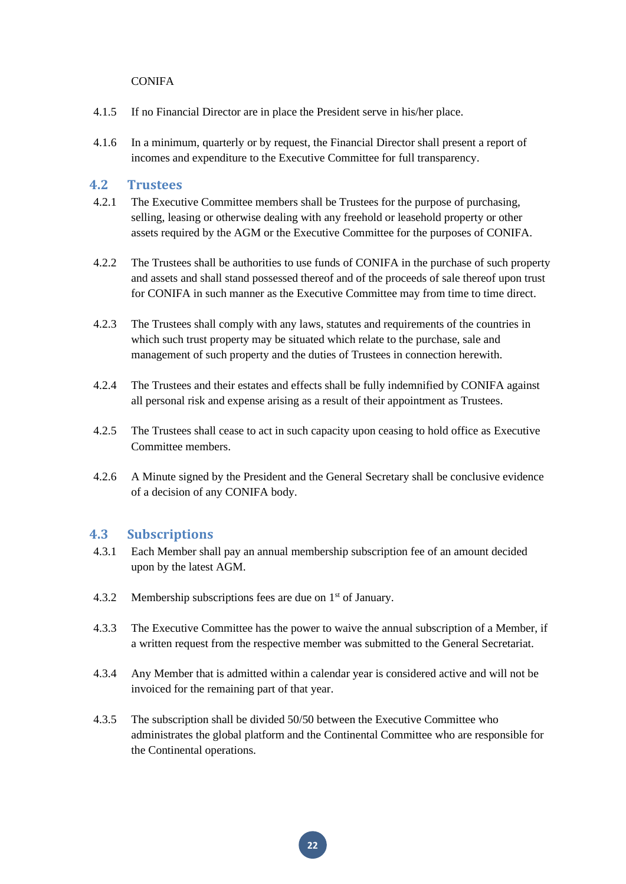#### **CONIFA**

- 4.1.5 If no Financial Director are in place the President serve in his/her place.
- 4.1.6 In a minimum, quarterly or by request, the Financial Director shall present a report of incomes and expenditure to the Executive Committee for full transparency.

# <span id="page-22-0"></span>**4.2 Trustees**

- 4.2.1 The Executive Committee members shall be Trustees for the purpose of purchasing, selling, leasing or otherwise dealing with any freehold or leasehold property or other assets required by the AGM or the Executive Committee for the purposes of CONIFA.
- 4.2.2 The Trustees shall be authorities to use funds of CONIFA in the purchase of such property and assets and shall stand possessed thereof and of the proceeds of sale thereof upon trust for CONIFA in such manner as the Executive Committee may from time to time direct.
- 4.2.3 The Trustees shall comply with any laws, statutes and requirements of the countries in which such trust property may be situated which relate to the purchase, sale and management of such property and the duties of Trustees in connection herewith.
- 4.2.4 The Trustees and their estates and effects shall be fully indemnified by CONIFA against all personal risk and expense arising as a result of their appointment as Trustees.
- 4.2.5 The Trustees shall cease to act in such capacity upon ceasing to hold office as Executive Committee members.
- 4.2.6 A Minute signed by the President and the General Secretary shall be conclusive evidence of a decision of any CONIFA body.

# <span id="page-22-1"></span>**4.3 Subscriptions**

- 4.3.1 Each Member shall pay an annual membership subscription fee of an amount decided upon by the latest AGM.
- 4.3.2 Membership subscriptions fees are due on 1<sup>st</sup> of January.
- 4.3.3 The Executive Committee has the power to waive the annual subscription of a Member, if a written request from the respective member was submitted to the General Secretariat.
- 4.3.4 Any Member that is admitted within a calendar year is considered active and will not be invoiced for the remaining part of that year.
- 4.3.5 The subscription shall be divided 50/50 between the Executive Committee who administrates the global platform and the Continental Committee who are responsible for the Continental operations.

**22**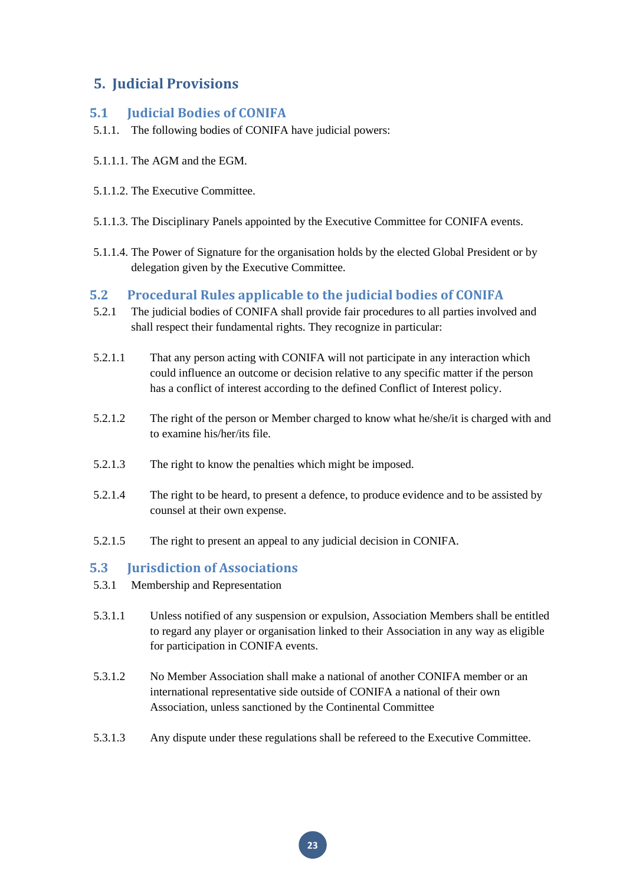# <span id="page-23-0"></span>**5. Judicial Provisions**

# <span id="page-23-1"></span>**5.1 Judicial Bodies of CONIFA**

- 5.1.1. The following bodies of CONIFA have judicial powers:
- 5.1.1.1. The AGM and the EGM.
- 5.1.1.2. The Executive Committee.
- 5.1.1.3. The Disciplinary Panels appointed by the Executive Committee for CONIFA events.
- 5.1.1.4. The Power of Signature for the organisation holds by the elected Global President or by delegation given by the Executive Committee.

# <span id="page-23-2"></span>**5.2 Procedural Rules applicable to the judicial bodies of CONIFA**

- 5.2.1 The judicial bodies of CONIFA shall provide fair procedures to all parties involved and shall respect their fundamental rights. They recognize in particular:
- 5.2.1.1 That any person acting with CONIFA will not participate in any interaction which could influence an outcome or decision relative to any specific matter if the person has a conflict of interest according to the defined Conflict of Interest policy.
- 5.2.1.2 The right of the person or Member charged to know what he/she/it is charged with and to examine his/her/its file.
- 5.2.1.3 The right to know the penalties which might be imposed.
- 5.2.1.4 The right to be heard, to present a defence, to produce evidence and to be assisted by counsel at their own expense.
- 5.2.1.5 The right to present an appeal to any judicial decision in CONIFA.

# <span id="page-23-3"></span>**5.3 Jurisdiction of Associations**

- 5.3.1 Membership and Representation
- 5.3.1.1 Unless notified of any suspension or expulsion, Association Members shall be entitled to regard any player or organisation linked to their Association in any way as eligible for participation in CONIFA events.
- 5.3.1.2 No Member Association shall make a national of another CONIFA member or an international representative side outside of CONIFA a national of their own Association, unless sanctioned by the Continental Committee
- 5.3.1.3 Any dispute under these regulations shall be refereed to the Executive Committee.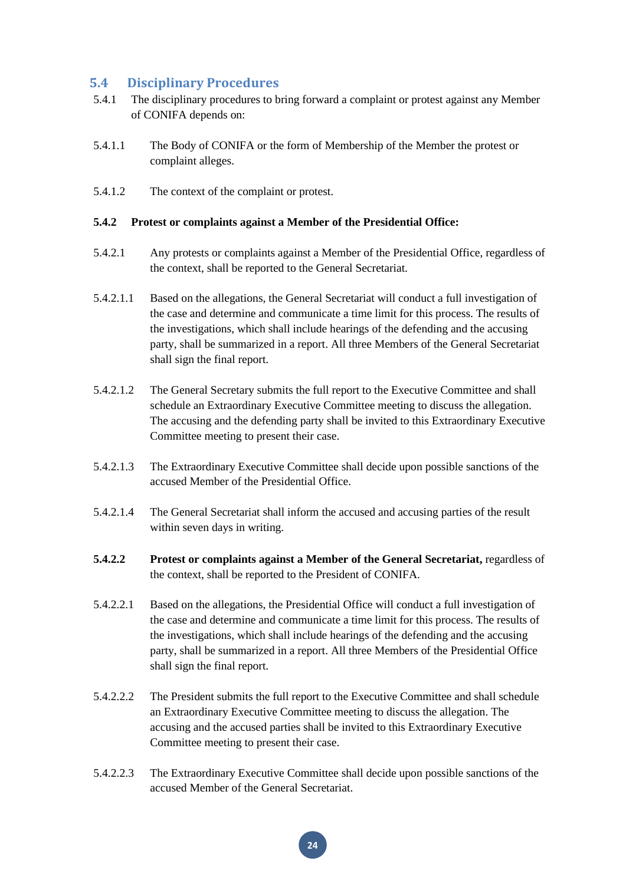# <span id="page-24-0"></span>**5.4 Disciplinary Procedures**

- 5.4.1 The disciplinary procedures to bring forward a complaint or protest against any Member of CONIFA depends on:
- 5.4.1.1 The Body of CONIFA or the form of Membership of the Member the protest or complaint alleges.
- 5.4.1.2 The context of the complaint or protest.

#### **5.4.2 Protest or complaints against a Member of the Presidential Office:**

- 5.4.2.1 Any protests or complaints against a Member of the Presidential Office, regardless of the context, shall be reported to the General Secretariat.
- 5.4.2.1.1 Based on the allegations, the General Secretariat will conduct a full investigation of the case and determine and communicate a time limit for this process. The results of the investigations, which shall include hearings of the defending and the accusing party, shall be summarized in a report. All three Members of the General Secretariat shall sign the final report.
- 5.4.2.1.2 The General Secretary submits the full report to the Executive Committee and shall schedule an Extraordinary Executive Committee meeting to discuss the allegation. The accusing and the defending party shall be invited to this Extraordinary Executive Committee meeting to present their case.
- 5.4.2.1.3 The Extraordinary Executive Committee shall decide upon possible sanctions of the accused Member of the Presidential Office.
- 5.4.2.1.4 The General Secretariat shall inform the accused and accusing parties of the result within seven days in writing.
- **5.4.2.2 Protest or complaints against a Member of the General Secretariat,** regardless of the context, shall be reported to the President of CONIFA.
- 5.4.2.2.1 Based on the allegations, the Presidential Office will conduct a full investigation of the case and determine and communicate a time limit for this process. The results of the investigations, which shall include hearings of the defending and the accusing party, shall be summarized in a report. All three Members of the Presidential Office shall sign the final report.
- 5.4.2.2.2 The President submits the full report to the Executive Committee and shall schedule an Extraordinary Executive Committee meeting to discuss the allegation. The accusing and the accused parties shall be invited to this Extraordinary Executive Committee meeting to present their case.
- 5.4.2.2.3 The Extraordinary Executive Committee shall decide upon possible sanctions of the accused Member of the General Secretariat.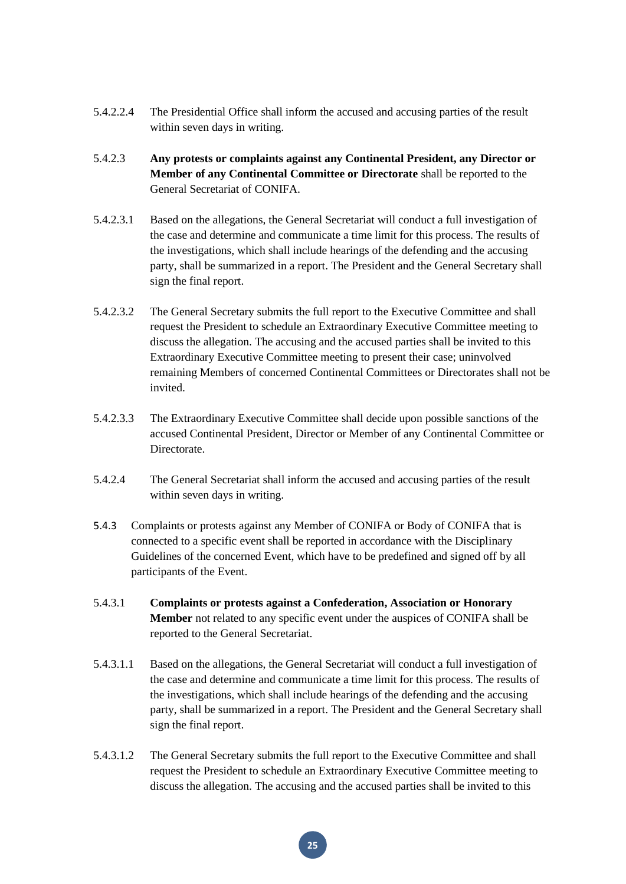- 5.4.2.2.4 The Presidential Office shall inform the accused and accusing parties of the result within seven days in writing.
- 5.4.2.3 **Any protests or complaints against any Continental President, any Director or Member of any Continental Committee or Directorate** shall be reported to the General Secretariat of CONIFA.
- 5.4.2.3.1 Based on the allegations, the General Secretariat will conduct a full investigation of the case and determine and communicate a time limit for this process. The results of the investigations, which shall include hearings of the defending and the accusing party, shall be summarized in a report. The President and the General Secretary shall sign the final report.
- 5.4.2.3.2 The General Secretary submits the full report to the Executive Committee and shall request the President to schedule an Extraordinary Executive Committee meeting to discuss the allegation. The accusing and the accused parties shall be invited to this Extraordinary Executive Committee meeting to present their case; uninvolved remaining Members of concerned Continental Committees or Directorates shall not be invited.
- 5.4.2.3.3 The Extraordinary Executive Committee shall decide upon possible sanctions of the accused Continental President, Director or Member of any Continental Committee or Directorate.
- 5.4.2.4 The General Secretariat shall inform the accused and accusing parties of the result within seven days in writing.
- 5.4.3 Complaints or protests against any Member of CONIFA or Body of CONIFA that is connected to a specific event shall be reported in accordance with the Disciplinary Guidelines of the concerned Event, which have to be predefined and signed off by all participants of the Event.
- 5.4.3.1 **Complaints or protests against a Confederation, Association or Honorary Member** not related to any specific event under the auspices of CONIFA shall be reported to the General Secretariat.
- 5.4.3.1.1 Based on the allegations, the General Secretariat will conduct a full investigation of the case and determine and communicate a time limit for this process. The results of the investigations, which shall include hearings of the defending and the accusing party, shall be summarized in a report. The President and the General Secretary shall sign the final report.
- 5.4.3.1.2 The General Secretary submits the full report to the Executive Committee and shall request the President to schedule an Extraordinary Executive Committee meeting to discuss the allegation. The accusing and the accused parties shall be invited to this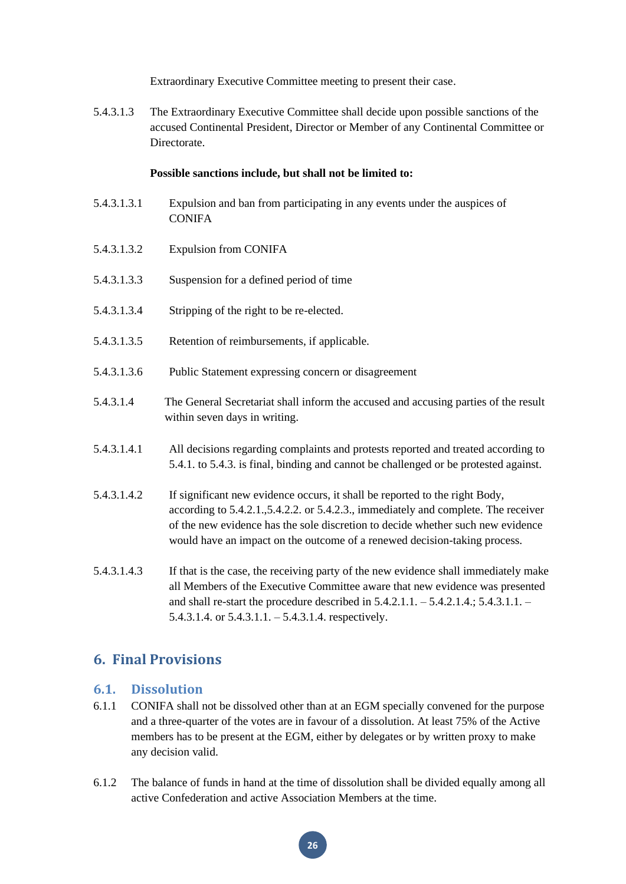Extraordinary Executive Committee meeting to present their case.

5.4.3.1.3 The Extraordinary Executive Committee shall decide upon possible sanctions of the accused Continental President, Director or Member of any Continental Committee or **Directorate** 

#### **Possible sanctions include, but shall not be limited to:**

- 5.4.3.1.3.1 Expulsion and ban from participating in any events under the auspices of **CONIFA**
- 5.4.3.1.3.2 Expulsion from CONIFA
- 5.4.3.1.3.3 Suspension for a defined period of time
- 5.4.3.1.3.4 Stripping of the right to be re-elected.
- 5.4.3.1.3.5 Retention of reimbursements, if applicable.
- 5.4.3.1.3.6 Public Statement expressing concern or disagreement
- 5.4.3.1.4 The General Secretariat shall inform the accused and accusing parties of the result within seven days in writing.
- 5.4.3.1.4.1 All decisions regarding complaints and protests reported and treated according to 5.4.1. to 5.4.3. is final, binding and cannot be challenged or be protested against.
- 5.4.3.1.4.2 If significant new evidence occurs, it shall be reported to the right Body, according to 5.4.2.1.,5.4.2.2. or 5.4.2.3., immediately and complete. The receiver of the new evidence has the sole discretion to decide whether such new evidence would have an impact on the outcome of a renewed decision-taking process.
- 5.4.3.1.4.3 If that is the case, the receiving party of the new evidence shall immediately make all Members of the Executive Committee aware that new evidence was presented and shall re-start the procedure described in 5.4.2.1.1. – 5.4.2.1.4.; 5.4.3.1.1. – 5.4.3.1.4. or 5.4.3.1.1. – 5.4.3.1.4. respectively.

# <span id="page-26-0"></span>**6. Final Provisions**

# <span id="page-26-1"></span>**6.1. Dissolution**

- 6.1.1 CONIFA shall not be dissolved other than at an EGM specially convened for the purpose and a three-quarter of the votes are in favour of a dissolution. At least 75% of the Active members has to be present at the EGM, either by delegates or by written proxy to make any decision valid.
- 6.1.2 The balance of funds in hand at the time of dissolution shall be divided equally among all active Confederation and active Association Members at the time.